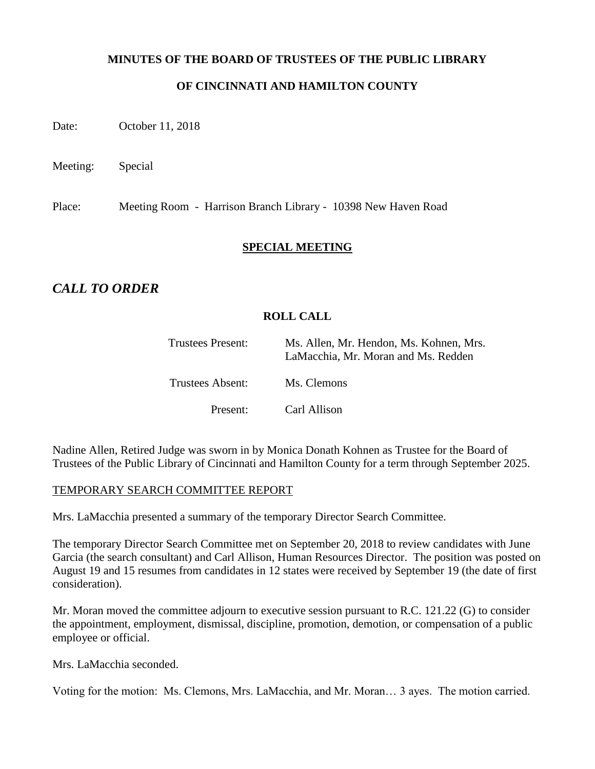## **MINUTES OF THE BOARD OF TRUSTEES OF THE PUBLIC LIBRARY**

# **OF CINCINNATI AND HAMILTON COUNTY**

Date: October 11, 2018

Meeting: Special

Place: Meeting Room - Harrison Branch Library - 10398 New Haven Road

## **SPECIAL MEETING**

# *CALL TO ORDER*

# **ROLL CALL**

| Trustees Present: | Ms. Allen, Mr. Hendon, Ms. Kohnen, Mrs.<br>LaMacchia, Mr. Moran and Ms. Redden |
|-------------------|--------------------------------------------------------------------------------|
| Trustees Absent:  | Ms. Clemons                                                                    |
| Present:          | Carl Allison                                                                   |

Nadine Allen, Retired Judge was sworn in by Monica Donath Kohnen as Trustee for the Board of Trustees of the Public Library of Cincinnati and Hamilton County for a term through September 2025.

#### TEMPORARY SEARCH COMMITTEE REPORT

Mrs. LaMacchia presented a summary of the temporary Director Search Committee.

The temporary Director Search Committee met on September 20, 2018 to review candidates with June Garcia (the search consultant) and Carl Allison, Human Resources Director. The position was posted on August 19 and 15 resumes from candidates in 12 states were received by September 19 (the date of first consideration).

Mr. Moran moved the committee adjourn to executive session pursuant to R.C. 121.22 (G) to consider the appointment, employment, dismissal, discipline, promotion, demotion, or compensation of a public employee or official.

Mrs. LaMacchia seconded.

Voting for the motion: Ms. Clemons, Mrs. LaMacchia, and Mr. Moran… 3 ayes. The motion carried.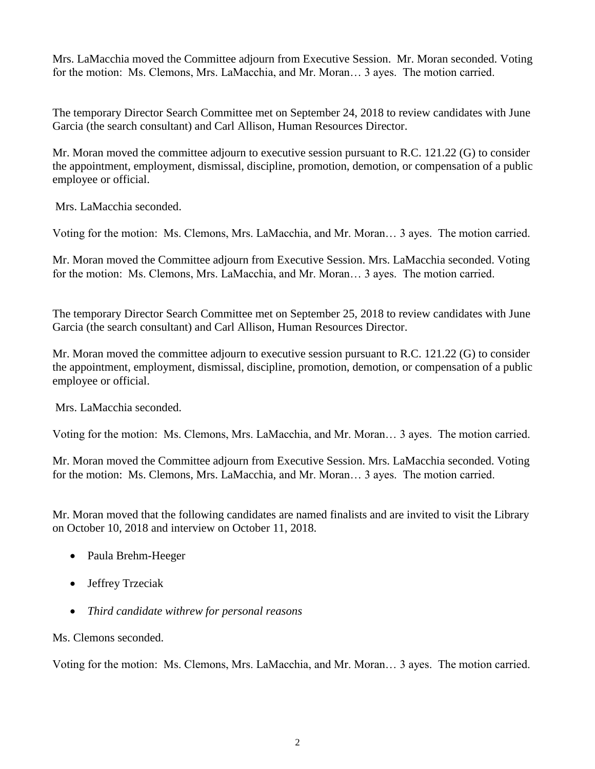Mrs. LaMacchia moved the Committee adjourn from Executive Session. Mr. Moran seconded. Voting for the motion: Ms. Clemons, Mrs. LaMacchia, and Mr. Moran… 3 ayes. The motion carried.

The temporary Director Search Committee met on September 24, 2018 to review candidates with June Garcia (the search consultant) and Carl Allison, Human Resources Director.

Mr. Moran moved the committee adjourn to executive session pursuant to R.C. 121.22 (G) to consider the appointment, employment, dismissal, discipline, promotion, demotion, or compensation of a public employee or official.

Mrs. LaMacchia seconded.

Voting for the motion: Ms. Clemons, Mrs. LaMacchia, and Mr. Moran… 3 ayes. The motion carried.

Mr. Moran moved the Committee adjourn from Executive Session. Mrs. LaMacchia seconded. Voting for the motion: Ms. Clemons, Mrs. LaMacchia, and Mr. Moran… 3 ayes. The motion carried.

The temporary Director Search Committee met on September 25, 2018 to review candidates with June Garcia (the search consultant) and Carl Allison, Human Resources Director.

Mr. Moran moved the committee adjourn to executive session pursuant to R.C. 121.22 (G) to consider the appointment, employment, dismissal, discipline, promotion, demotion, or compensation of a public employee or official.

Mrs. LaMacchia seconded.

Voting for the motion: Ms. Clemons, Mrs. LaMacchia, and Mr. Moran… 3 ayes. The motion carried.

Mr. Moran moved the Committee adjourn from Executive Session. Mrs. LaMacchia seconded. Voting for the motion: Ms. Clemons, Mrs. LaMacchia, and Mr. Moran… 3 ayes. The motion carried.

Mr. Moran moved that the following candidates are named finalists and are invited to visit the Library on October 10, 2018 and interview on October 11, 2018.

- Paula Brehm-Heeger
- Jeffrey Trzeciak
- *Third candidate withrew for personal reasons*

Ms. Clemons seconded.

Voting for the motion: Ms. Clemons, Mrs. LaMacchia, and Mr. Moran… 3 ayes. The motion carried.